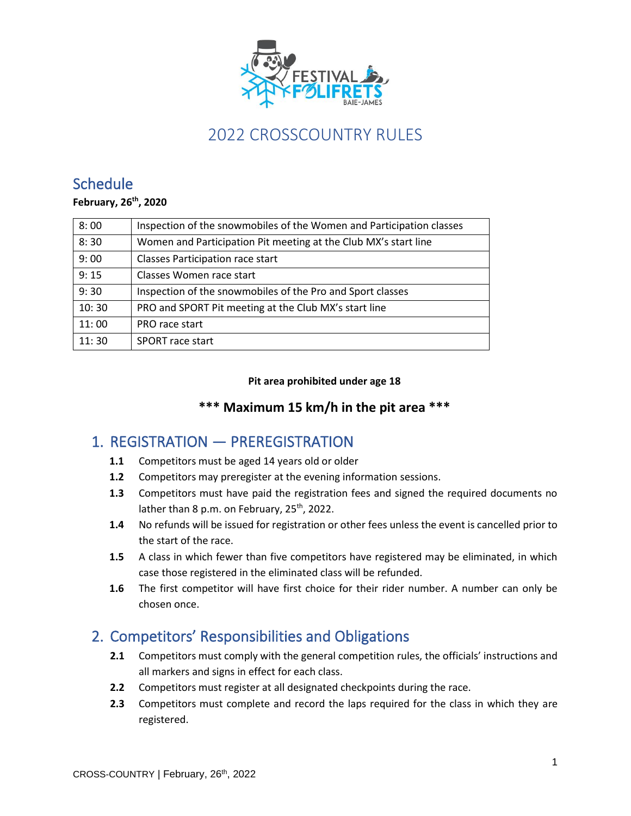

## **Schedule**

#### **February, 26 th, 2020**

| 8:00  | Inspection of the snowmobiles of the Women and Participation classes |
|-------|----------------------------------------------------------------------|
| 8:30  | Women and Participation Pit meeting at the Club MX's start line      |
| 9:00  | <b>Classes Participation race start</b>                              |
| 9:15  | Classes Women race start                                             |
| 9:30  | Inspection of the snowmobiles of the Pro and Sport classes           |
| 10:30 | PRO and SPORT Pit meeting at the Club MX's start line                |
| 11:00 | PRO race start                                                       |
| 11:30 | <b>SPORT</b> race start                                              |

#### **Pit area prohibited under age 18**

#### **\*\*\* Maximum 15 km/h in the pit area \*\*\***

### 1. REGISTRATION — PREREGISTRATION

- **1.1** Competitors must be aged 14 years old or older
- **1.2** Competitors may preregister at the evening information sessions.
- **1.3** Competitors must have paid the registration fees and signed the required documents no lather than 8 p.m. on February, 25<sup>th</sup>, 2022.
- **1.4** No refunds will be issued for registration or other fees unless the event is cancelled prior to the start of the race.
- **1.5** A class in which fewer than five competitors have registered may be eliminated, in which case those registered in the eliminated class will be refunded.
- **1.6** The first competitor will have first choice for their rider number. A number can only be chosen once.

### 2. Competitors' Responsibilities and Obligations

- **2.1** Competitors must comply with the general competition rules, the officials' instructions and all markers and signs in effect for each class.
- **2.2** Competitors must register at all designated checkpoints during the race.
- **2.3** Competitors must complete and record the laps required for the class in which they are registered.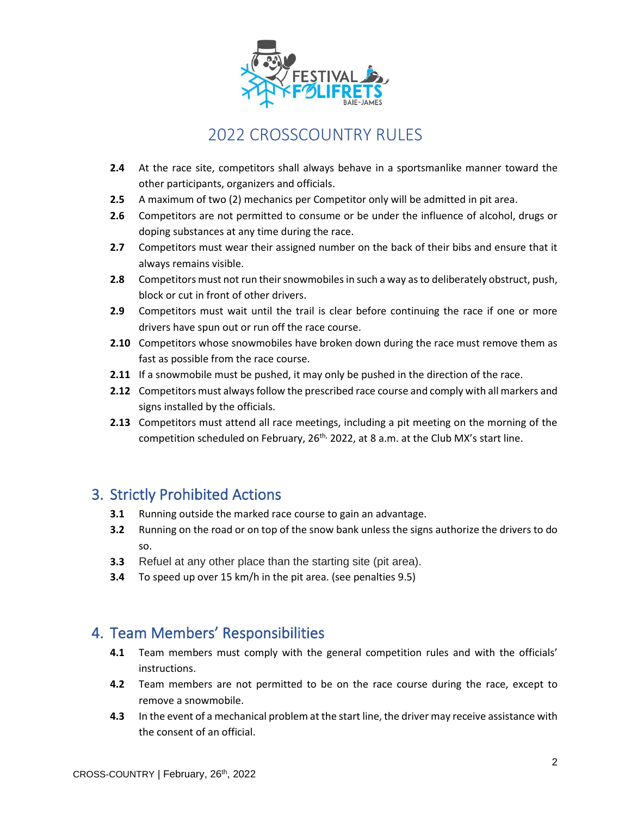

- **2.4** At the race site, competitors shall always behave in a sportsmanlike manner toward the other participants, organizers and officials.
- **2.5** A maximum of two (2) mechanics per Competitor only will be admitted in pit area.
- **2.6** Competitors are not permitted to consume or be under the influence of alcohol, drugs or doping substances at any time during the race.
- **2.7** Competitors must wear their assigned number on the back of their bibs and ensure that it always remains visible.
- **2.8** Competitors must not run their snowmobiles in such a way as to deliberately obstruct, push, block or cut in front of other drivers.
- **2.9** Competitors must wait until the trail is clear before continuing the race if one or more drivers have spun out or run off the race course.
- **2.10** Competitors whose snowmobiles have broken down during the race must remove them as fast as possible from the race course.
- **2.11** If a snowmobile must be pushed, it may only be pushed in the direction of the race.
- **2.12** Competitors must always follow the prescribed race course and comply with all markers and signs installed by the officials.
- **2.13** Competitors must attend all race meetings, including a pit meeting on the morning of the competition scheduled on February, 26<sup>th,</sup> 2022, at 8 a.m. at the Club MX's start line.

### 3. Strictly Prohibited Actions

- **3.1** Running outside the marked race course to gain an advantage.
- **3.2** Running on the road or on top of the snow bank unless the signs authorize the drivers to do so.
- **3.3** Refuel at any other place than the starting site (pit area).
- **3.4** To speed up over 15 km/h in the pit area. (see penalties 9.5)

#### 4. Team Members' Responsibilities

- **4.1** Team members must comply with the general competition rules and with the officials' instructions.
- **4.2** Team members are not permitted to be on the race course during the race, except to remove a snowmobile.
- **4.3** In the event of a mechanical problem at the start line, the driver may receive assistance with the consent of an official.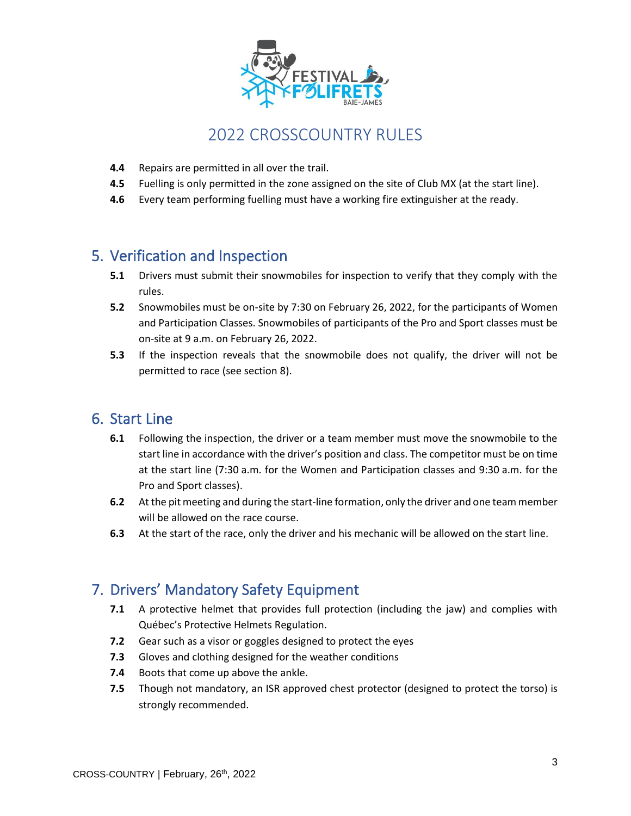

- **4.4** Repairs are permitted in all over the trail.
- **4.5** Fuelling is only permitted in the zone assigned on the site of Club MX (at the start line).
- **4.6** Every team performing fuelling must have a working fire extinguisher at the ready.

### 5. Verification and Inspection

- **5.1** Drivers must submit their snowmobiles for inspection to verify that they comply with the rules.
- **5.2** Snowmobiles must be on-site by 7:30 on February 26, 2022, for the participants of Women and Participation Classes. Snowmobiles of participants of the Pro and Sport classes must be on-site at 9 a.m. on February 26, 2022.
- **5.3** If the inspection reveals that the snowmobile does not qualify, the driver will not be permitted to race (see section 8).

#### 6. Start Line

- **6.1** Following the inspection, the driver or a team member must move the snowmobile to the start line in accordance with the driver's position and class. The competitor must be on time at the start line (7:30 a.m. for the Women and Participation classes and 9:30 a.m. for the Pro and Sport classes).
- **6.2** At the pit meeting and during the start-line formation, only the driver and one team member will be allowed on the race course.
- **6.3** At the start of the race, only the driver and his mechanic will be allowed on the start line.

### 7. Drivers' Mandatory Safety Equipment

- **7.1** A protective helmet that provides full protection (including the jaw) and complies with Québec's Protective Helmets Regulation.
- **7.2** Gear such as a visor or goggles designed to protect the eyes
- **7.3** Gloves and clothing designed for the weather conditions
- **7.4** Boots that come up above the ankle.
- **7.5** Though not mandatory, an ISR approved chest protector (designed to protect the torso) is strongly recommended.